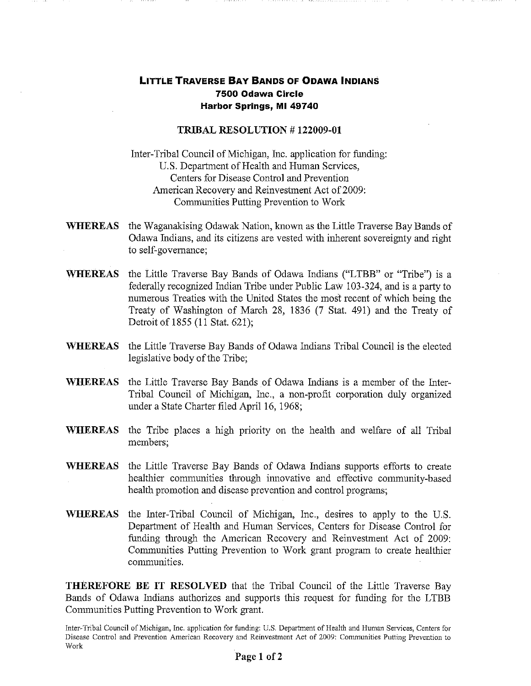## **LITTLE TRAVERSE BAY BANDS OF ODAWA INDIANS 7500 Odawa Circle Harbor Springs, MI 49740**

## **TRIBAL RESOLUTION** # **122009-01**

Inter-Tribal Council of Michigan, Inc. application for funding: U.S. Department of Health and Human Services, Centers for Disease Control and Prevention American Recovery and Reinvestment Act of 2009: Communities Putting Prevention to Work

- **WHEREAS**  the Waganakising Odawak Nation, known as the Little Traverse Bay Bands of Odawa Indians, and its citizens are vested with inherent sovereignty and right to self-governance;
- **WHEREAS**  the Little Traverse Bay Bands of Odawa Indians ("LTBB" or "Tribe") is a federally recognized Indian Tribe under Public Law 103-324, and is a party to numerous Treaties with the United States the most recent of which being the Treaty of Washington of March 28, 1836 (7 Stat. 491) and the Treaty of Detroit of 1855 (11 Stat. 621);
- **WHEREAS**  the Little Traverse Bay Bands of Odawa Indians Tribal Council is the elected legislative body of the Tribe;
- **WHEREAS**  the Little Traverse Bay Bands of Odawa Indians is a member of the Inter-Tribal Council of Michigan, Inc., a non-profit corporation duly organized under a State Charter filed April 16, 1968;
- **WHEREAS**  the Tribe places a high priority on the health and welfare of all Tribal members;
- **WHEREAS**  the Little Traverse Bay Bands of Odawa Indians supports efforts to create healthier communities through innovative and effective community-based health promotion and disease prevention and control programs;
- **WHEREAS**  the Inter-Tribal Council of Michigan, Inc., desires to apply to the U.S. Department of Health and Human Services, Centers for Disease Control for funding through the American Recovery and Reinvestment Act of 2009: Communities Putting Prevention to Work grant program to create healthier communities.

**THEREFORE BE IT RESOLVED** that the Tribal Council of the Little Traverse Bay Bands of Odawa Indians authorizes and supports this request for funding for the LTBB Communities Putting Prevention to Work grant.

Inter-Tribal Council of Michigan, Inc. application for funding: U.S. Department of Health and Human Services, Centers for Disease Control and Prevention American Recovery and Reinvestment Act of 2009: Communities Putting Prevention to Work